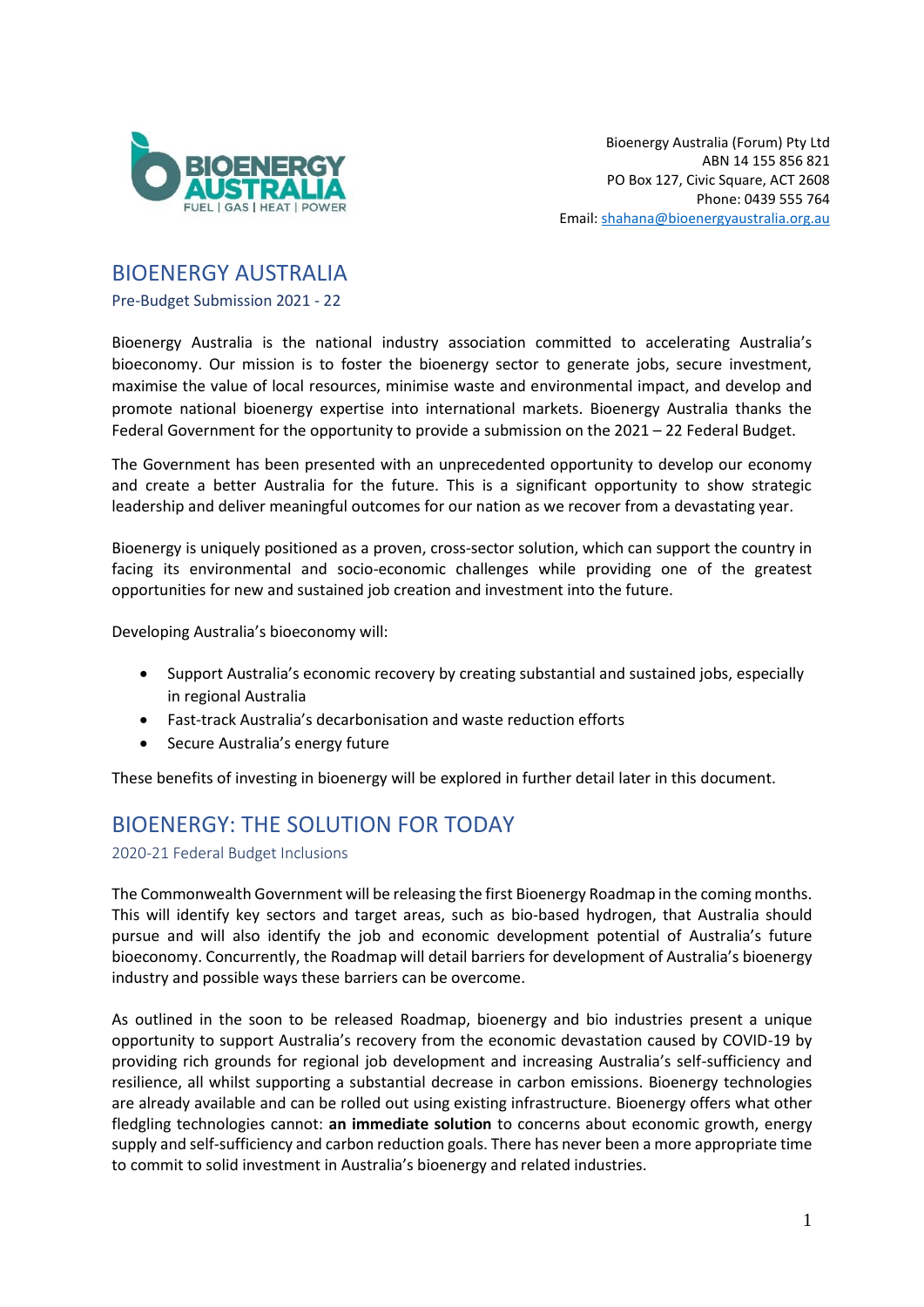

## BIOENERGY AUSTRALIA

Pre-Budget Submission 2021 - 22

Bioenergy Australia is the national industry association committed to accelerating Australia's bioeconomy. Our mission is to foster the bioenergy sector to generate jobs, secure investment, maximise the value of local resources, minimise waste and environmental impact, and develop and promote national bioenergy expertise into international markets. Bioenergy Australia thanks the Federal Government for the opportunity to provide a submission on the 2021 – 22 Federal Budget.

The Government has been presented with an unprecedented opportunity to develop our economy and create a better Australia for the future. This is a significant opportunity to show strategic leadership and deliver meaningful outcomes for our nation as we recover from a devastating year.

Bioenergy is uniquely positioned as a proven, cross-sector solution, which can support the country in facing its environmental and socio-economic challenges while providing one of the greatest opportunities for new and sustained job creation and investment into the future.

Developing Australia's bioeconomy will:

- Support Australia's economic recovery by creating substantial and sustained jobs, especially in regional Australia
- Fast-track Australia's decarbonisation and waste reduction efforts
- Secure Australia's energy future

These benefits of investing in bioenergy will be explored in further detail later in this document.

# BIOENERGY: THE SOLUTION FOR TODAY

2020-21 Federal Budget Inclusions

The Commonwealth Government will be releasing the first Bioenergy Roadmap in the coming months. This will identify key sectors and target areas, such as bio-based hydrogen, that Australia should pursue and will also identify the job and economic development potential of Australia's future bioeconomy. Concurrently, the Roadmap will detail barriers for development of Australia's bioenergy industry and possible ways these barriers can be overcome.

As outlined in the soon to be released Roadmap, bioenergy and bio industries present a unique opportunity to support Australia's recovery from the economic devastation caused by COVID-19 by providing rich grounds for regional job development and increasing Australia's self-sufficiency and resilience, all whilst supporting a substantial decrease in carbon emissions. Bioenergy technologies are already available and can be rolled out using existing infrastructure. Bioenergy offers what other fledgling technologies cannot: **an immediate solution** to concerns about economic growth, energy supply and self-sufficiency and carbon reduction goals. There has never been a more appropriate time to commit to solid investment in Australia's bioenergy and related industries.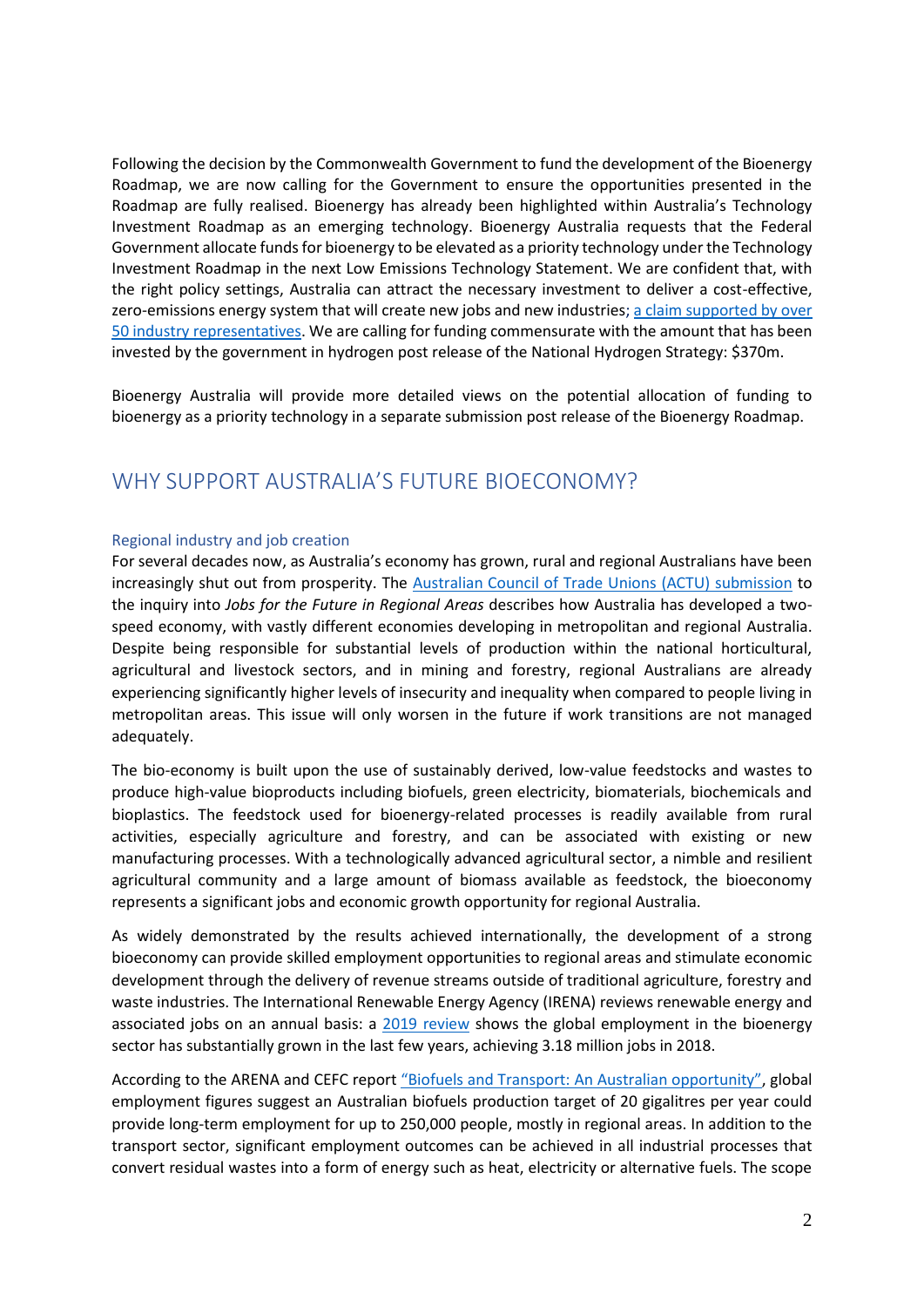Following the decision by the Commonwealth Government to fund the development of the Bioenergy Roadmap, we are now calling for the Government to ensure the opportunities presented in the Roadmap are fully realised. Bioenergy has already been highlighted within Australia's Technology Investment Roadmap as an emerging technology. Bioenergy Australia requests that the Federal Government allocate funds for bioenergy to be elevated as a priority technology under the Technology Investment Roadmap in the next Low Emissions Technology Statement. We are confident that, with the right policy settings, Australia can attract the necessary investment to deliver a cost-effective, zero-emissions energy system that will create new jobs and new industries[; a claim supported by over](https://cdn.revolutionise.com.au/cups/bioenergy/files/bx5ugtyyi5vedbox.pdf)  [50 industry representatives.](https://cdn.revolutionise.com.au/cups/bioenergy/files/bx5ugtyyi5vedbox.pdf) We are calling for funding commensurate with the amount that has been invested by the government in hydrogen post release of the National Hydrogen Strategy: \$370m.

Bioenergy Australia will provide more detailed views on the potential allocation of funding to bioenergy as a priority technology in a separate submission post release of the Bioenergy Roadmap.

## WHY SUPPORT AUSTRALIA'S FUTURE BIOECONOMY?

#### Regional industry and job creation

For several decades now, as Australia's economy has grown, rural and regional Australians have been increasingly shut out from prosperity. The **Australian Council of Trade Unions (ACTU)** submission to the inquiry into *Jobs for the Future in Regional Areas* describes how Australia has developed a twospeed economy, with vastly different economies developing in metropolitan and regional Australia. Despite being responsible for substantial levels of production within the national horticultural, agricultural and livestock sectors, and in mining and forestry, regional Australians are already experiencing significantly higher levels of insecurity and inequality when compared to people living in metropolitan areas. This issue will only worsen in the future if work transitions are not managed adequately.

The bio-economy is built upon the use of sustainably derived, low-value feedstocks and wastes to produce high-value bioproducts including biofuels, green electricity, biomaterials, biochemicals and bioplastics. The feedstock used for bioenergy-related processes is readily available from rural activities, especially agriculture and forestry, and can be associated with existing or new manufacturing processes. With a technologically advanced agricultural sector, a nimble and resilient agricultural community and a large amount of biomass available as feedstock, the bioeconomy represents a significant jobs and economic growth opportunity for regional Australia.

As widely demonstrated by the results achieved internationally, the development of a strong bioeconomy can provide skilled employment opportunities to regional areas and stimulate economic development through the delivery of revenue streams outside of traditional agriculture, forestry and waste industries. The International Renewable Energy Agency (IRENA) reviews renewable energy and associated jobs on an annual basis: a [2019 review](https://www.irena.org/publications/2019/Jun/Renewable-Energy-and-Jobs-Annual-Review-2019) shows the global employment in the bioenergy sector has substantially grown in the last few years, achieving 3.18 million jobs in 2018.

According to the ARENA and CEFC report ["Biofuels and Transport: An Australian opportunity"](https://www.cefc.com.au/media/402280/biofuels-and-transport-an-australian-opportunity-november-2019.pdf?mc_cid=a981e0e599&mc_eid=b2caaf8652), global employment figures suggest an Australian biofuels production target of 20 gigalitres per year could provide long-term employment for up to 250,000 people, mostly in regional areas. In addition to the transport sector, significant employment outcomes can be achieved in all industrial processes that convert residual wastes into a form of energy such as heat, electricity or alternative fuels. The scope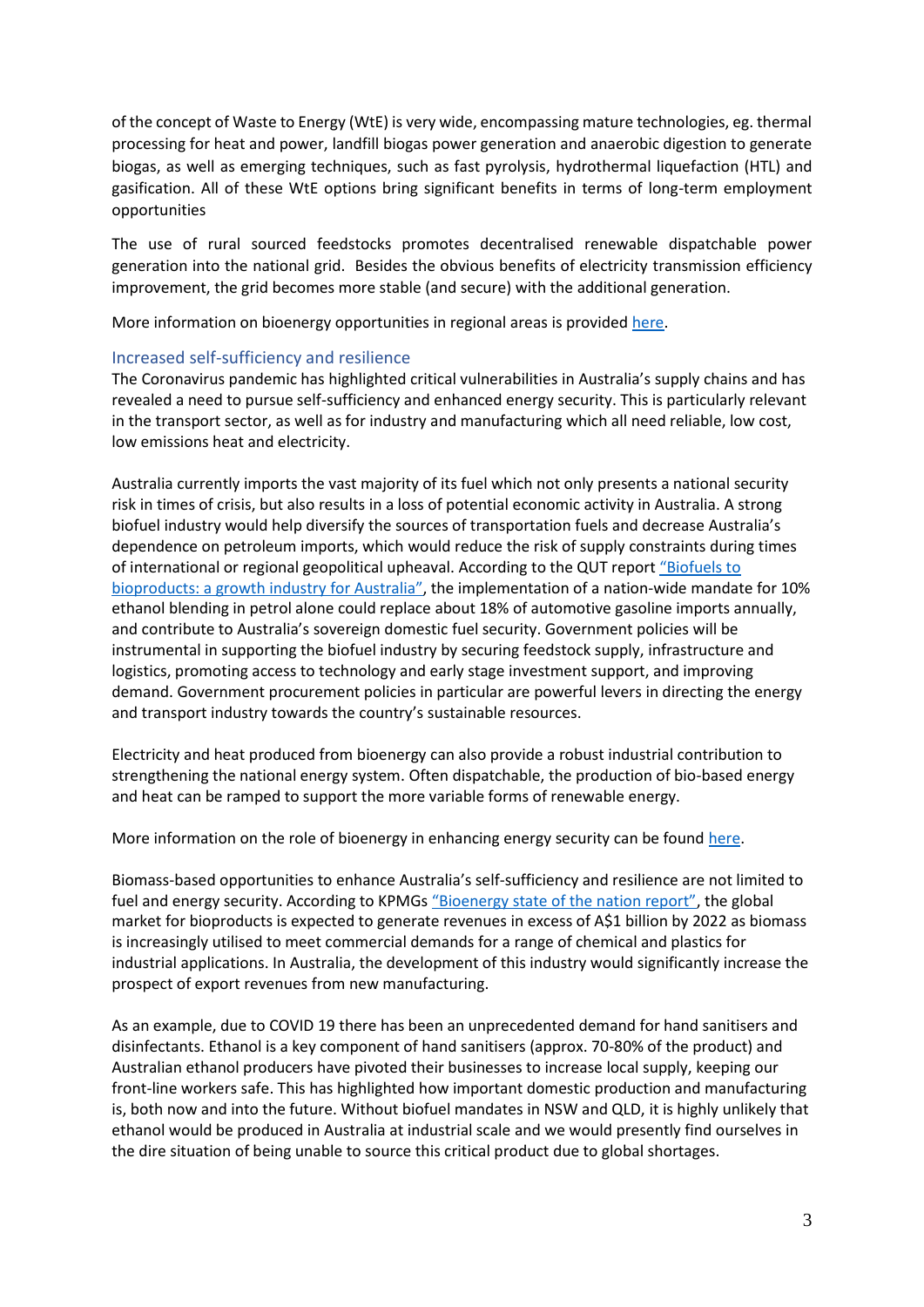of the concept of Waste to Energy (WtE) is very wide, encompassing mature technologies, eg. thermal processing for heat and power, landfill biogas power generation and anaerobic digestion to generate biogas, as well as emerging techniques, such as fast pyrolysis, hydrothermal liquefaction (HTL) and gasification. All of these WtE options bring significant benefits in terms of long-term employment opportunities

The use of rural sourced feedstocks promotes decentralised renewable dispatchable power generation into the national grid. Besides the obvious benefits of electricity transmission efficiency improvement, the grid becomes more stable (and secure) with the additional generation.

More information on bioenergy opportunities in regional areas is provided [here.](https://s3-ap-southeast-2.amazonaws.com/piano.revolutionise.com.au/cups/bioenergy/files/b1dqaxijihrynvy6.pdf)

### Increased self-sufficiency and resilience

The Coronavirus pandemic has highlighted critical vulnerabilities in Australia's supply chains and has revealed a need to pursue self-sufficiency and enhanced energy security. This is particularly relevant in the transport sector, as well as for industry and manufacturing which all need reliable, low cost, low emissions heat and electricity.

Australia currently imports the vast majority of its fuel which not only presents a national security risk in times of crisis, but also results in a loss of potential economic activity in Australia. A strong biofuel industry would help diversify the sources of transportation fuels and decrease Australia's dependence on petroleum imports, which would reduce the risk of supply constraints during times of international or regional geopolitical upheaval. According to the QUT report ["Biofuels to](https://www.dropbox.com/s/4ipthrygu5gk6m4/QUT%20Discussion%20Paper%20-%20No%20bleed%20FINAL.pdf?dl=0)  [bioproducts: a growth i](https://www.dropbox.com/s/4ipthrygu5gk6m4/QUT%20Discussion%20Paper%20-%20No%20bleed%20FINAL.pdf?dl=0)ndustry for Australia", the implementation of a nation-wide mandate for 10% ethanol blending in petrol alone could replace about 18% of automotive gasoline imports annually, and contribute to Australia's sovereign domestic fuel security. Government policies will be instrumental in supporting the biofuel industry by securing feedstock supply, infrastructure and logistics, promoting access to technology and early stage investment support, and improving demand. Government procurement policies in particular are powerful levers in directing the energy and transport industry towards the country's sustainable resources.

Electricity and heat produced from bioenergy can also provide a robust industrial contribution to strengthening the national energy system. Often dispatchable, the production of bio-based energy and heat can be ramped to support the more variable forms of renewable energy.

More information on the role of bioenergy in enhancing energy security can be found [here.](http://bioenfapesp.org/scopebioenergy/images/chapters/bioen-scope_chapter03.pdf)

Biomass-based opportunities to enhance Australia's self-sufficiency and resilience are not limited to fuel and energy security. According to KPMGs ["Bioenergy state of the nation report"](https://s3-ap-southeast-2.amazonaws.com/piano.revolutionise.com.au/news/vabsvwo5pa8jnsgs.pdf), the global market for bioproducts is expected to generate revenues in excess of A\$1 billion by 2022 as biomass is increasingly utilised to meet commercial demands for a range of chemical and plastics for industrial applications. In Australia, the development of this industry would significantly increase the prospect of export revenues from new manufacturing.

As an example, due to COVID 19 there has been an unprecedented demand for hand sanitisers and disinfectants. Ethanol is a key component of hand sanitisers (approx. 70-80% of the product) and Australian ethanol producers have pivoted their businesses to increase local supply, keeping our front-line workers safe. This has highlighted how important domestic production and manufacturing is, both now and into the future. Without biofuel mandates in NSW and QLD, it is highly unlikely that ethanol would be produced in Australia at industrial scale and we would presently find ourselves in the dire situation of being unable to source this critical product due to global shortages.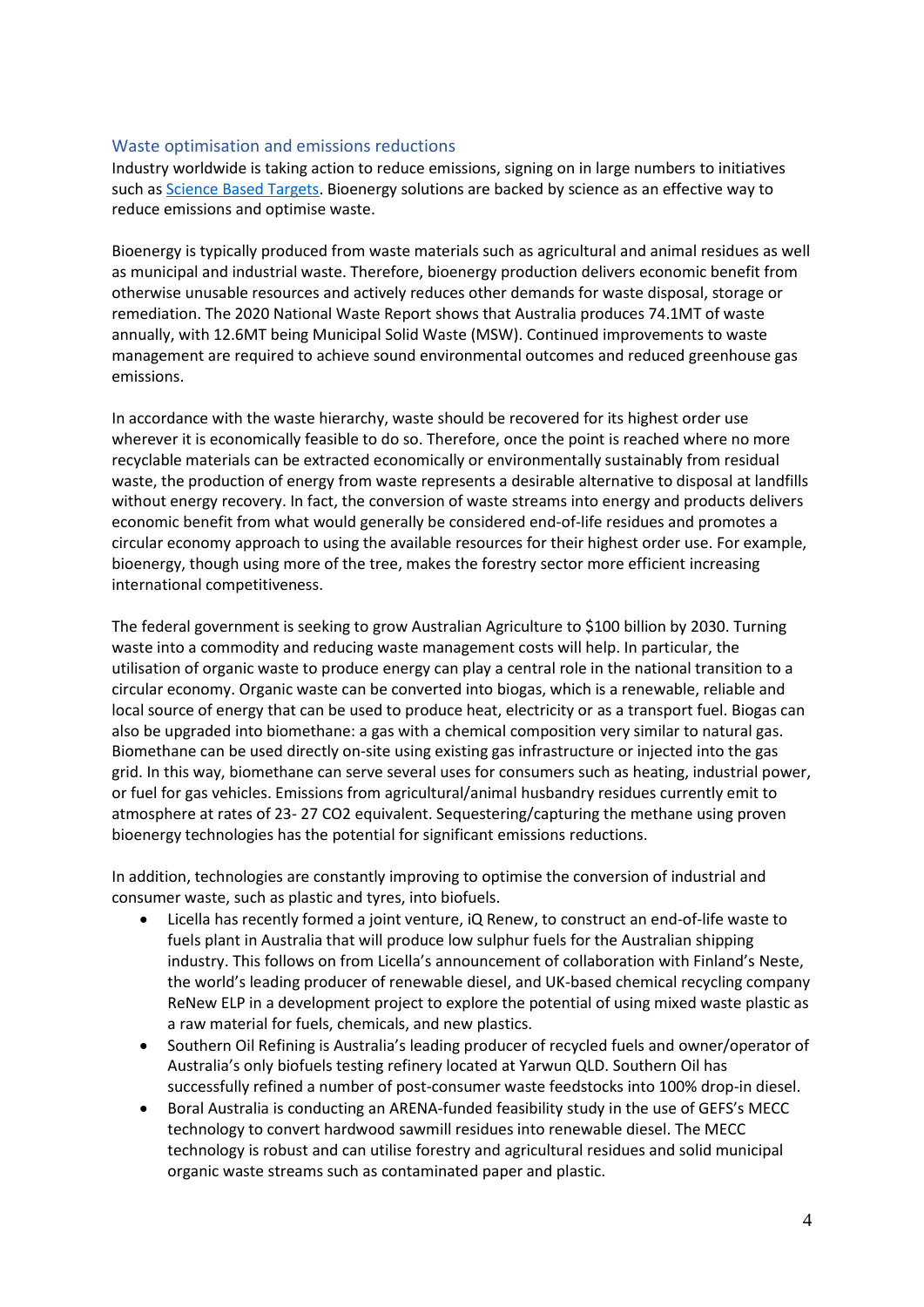#### Waste optimisation and emissions reductions

Industry worldwide is taking action to reduce emissions, signing on in large numbers to initiatives such as [Science Based Targets.](https://sciencebasedtargets.org/) Bioenergy solutions are backed by science as an effective way to reduce emissions and optimise waste.

Bioenergy is typically produced from waste materials such as agricultural and animal residues as well as municipal and industrial waste. Therefore, bioenergy production delivers economic benefit from otherwise unusable resources and actively reduces other demands for waste disposal, storage or remediation. The 2020 National Waste Report shows that Australia produces 74.1MT of waste annually, with 12.6MT being Municipal Solid Waste (MSW). Continued improvements to waste management are required to achieve sound environmental outcomes and reduced greenhouse gas emissions.

In accordance with the waste hierarchy, waste should be recovered for its highest order use wherever it is economically feasible to do so. Therefore, once the point is reached where no more recyclable materials can be extracted economically or environmentally sustainably from residual waste, the production of energy from waste represents a desirable alternative to disposal at landfills without energy recovery. In fact, the conversion of waste streams into energy and products delivers economic benefit from what would generally be considered end-of-life residues and promotes a circular economy approach to using the available resources for their highest order use. For example, bioenergy, though using more of the tree, makes the forestry sector more efficient increasing international competitiveness.

The federal government is seeking to grow Australian Agriculture to \$100 billion by 2030. Turning waste into a commodity and reducing waste management costs will help. In particular, the utilisation of organic waste to produce energy can play a central role in the national transition to a circular economy. Organic waste can be converted into biogas, which is a renewable, reliable and local source of energy that can be used to produce heat, electricity or as a transport fuel. Biogas can also be upgraded into biomethane: a gas with a chemical composition very similar to natural gas. Biomethane can be used directly on-site using existing gas infrastructure or injected into the gas grid. In this way, biomethane can serve several uses for consumers such as heating, industrial power, or fuel for gas vehicles. Emissions from agricultural/animal husbandry residues currently emit to atmosphere at rates of 23- 27 CO2 equivalent. Sequestering/capturing the methane using proven bioenergy technologies has the potential for significant emissions reductions.

In addition, technologies are constantly improving to optimise the conversion of industrial and consumer waste, such as plastic and tyres, into biofuels.

- Licella has recently formed a joint venture, iQ Renew, to construct an end-of-life waste to fuels plant in Australia that will produce low sulphur fuels for the Australian shipping industry. This follows on from Licella's announcement of collaboration with Finland's Neste, the world's leading producer of renewable diesel, and UK-based chemical recycling company ReNew ELP in a development project to explore the potential of using mixed waste plastic as a raw material for fuels, chemicals, and new plastics.
- Southern Oil Refining is Australia's leading producer of recycled fuels and owner/operator of Australia's only biofuels testing refinery located at Yarwun QLD. Southern Oil has successfully refined a number of post-consumer waste feedstocks into 100% drop-in diesel.
- Boral Australia is conducting an ARENA-funded feasibility study in the use of GEFS's MECC technology to convert hardwood sawmill residues into renewable diesel. The MECC technology is robust and can utilise forestry and agricultural residues and solid municipal organic waste streams such as contaminated paper and plastic.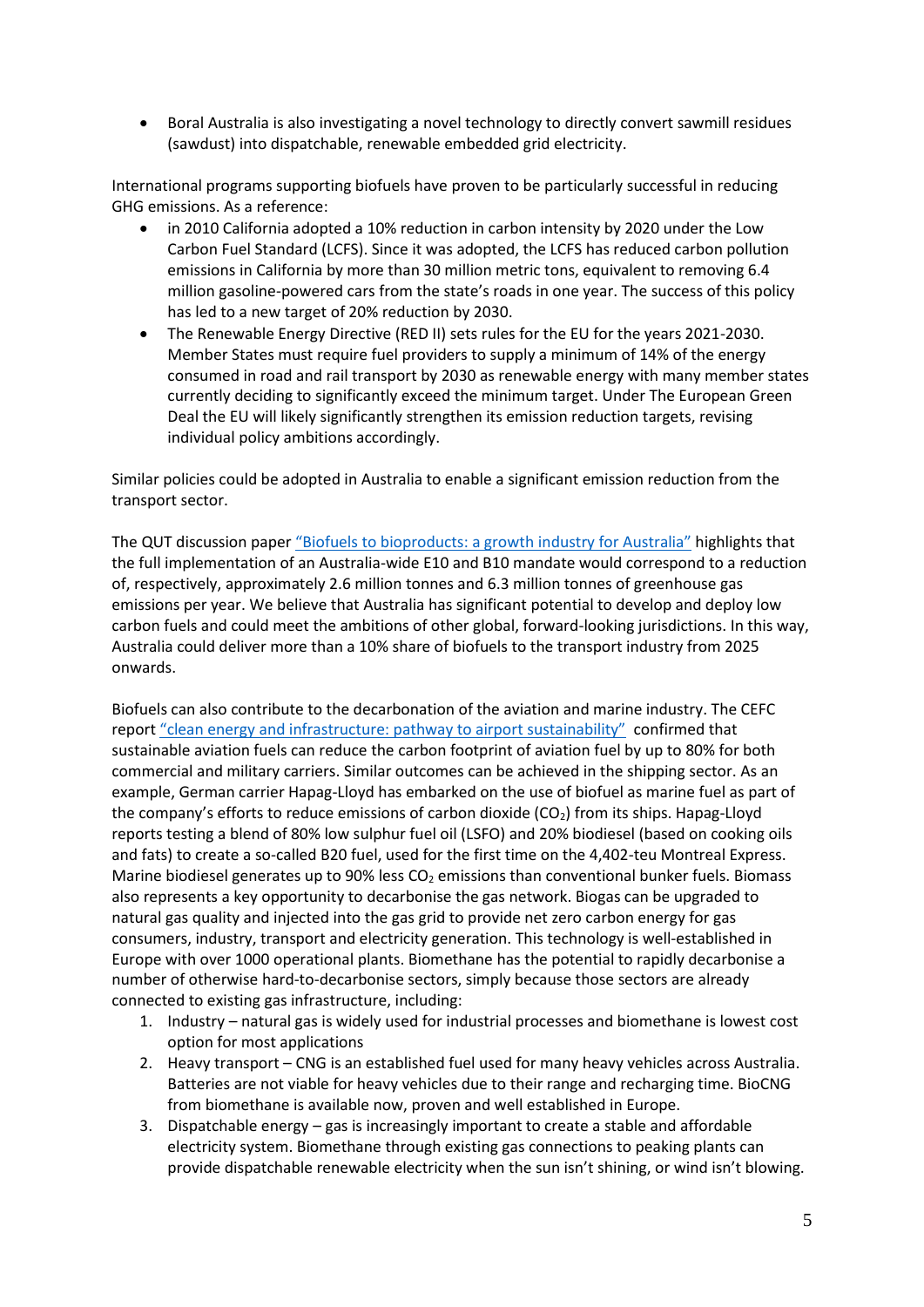• Boral Australia is also investigating a novel technology to directly convert sawmill residues (sawdust) into dispatchable, renewable embedded grid electricity.

International programs supporting biofuels have proven to be particularly successful in reducing GHG emissions. As a reference:

- in 2010 California adopted a 10% reduction in carbon intensity by 2020 under the Low Carbon Fuel Standard (LCFS). Since it was adopted, the LCFS has reduced carbon pollution emissions in California by more than 30 million metric tons, equivalent to removing 6.4 million gasoline-powered cars from the state's roads in one year. The success of this policy has led to a new target of 20% reduction by 2030.
- The Renewable Energy Directive (RED II) sets rules for the EU for the years 2021-2030. Member States must require fuel providers to supply a minimum of 14% of the energy consumed in road and rail transport by 2030 as renewable energy with many member states currently deciding to significantly exceed the minimum target. Under The European Green Deal the EU will likely significantly strengthen its emission reduction targets, revising individual policy ambitions accordingly.

Similar policies could be adopted in Australia to enable a significant emission reduction from the transport sector.

The QUT discussion paper ["Biofuels to bioproducts: a growth industry for Australia"](https://www.dropbox.com/s/4ipthrygu5gk6m4/QUT%20Discussion%20Paper%20-%20No%20bleed%20FINAL.pdf?dl=0) highlights that the full implementation of an Australia-wide E10 and B10 mandate would correspond to a reduction of, respectively, approximately 2.6 million tonnes and 6.3 million tonnes of greenhouse gas emissions per year. We believe that Australia has significant potential to develop and deploy low carbon fuels and could meet the ambitions of other global, forward-looking jurisdictions. In this way, Australia could deliver more than a 10% share of biofuels to the transport industry from 2025 onwards.

Biofuels can also contribute to the decarbonation of the aviation and marine industry. The CEFC report ["clean energy and infrastructure: pathway to airport sustainability"](https://www.cefc.com.au/media/402343/cefc-pathway-to-airport-sustainability.pdf?mc_cid=90e0d3b34e&mc_eid=b2caaf8652) confirmed that sustainable aviation fuels can reduce the carbon footprint of aviation fuel by up to 80% for both commercial and military carriers. Similar outcomes can be achieved in the shipping sector. As an example, German carrier Hapag-Lloyd has embarked on the use of biofuel as marine fuel as part of the company's efforts to reduce emissions of carbon dioxide  $(CO<sub>2</sub>)$  from its ships. Hapag-Lloyd reports testing a blend of 80% low sulphur fuel oil (LSFO) and 20% biodiesel (based on cooking oils and fats) to create a so-called B20 fuel, used for the first time on the 4,402-teu Montreal Express. Marine biodiesel generates up to 90% less  $CO<sub>2</sub>$  emissions than conventional bunker fuels. Biomass also represents a key opportunity to decarbonise the gas network. Biogas can be upgraded to natural gas quality and injected into the gas grid to provide net zero carbon energy for gas consumers, industry, transport and electricity generation. This technology is well-established in Europe with over 1000 operational plants. Biomethane has the potential to rapidly decarbonise a number of otherwise hard-to-decarbonise sectors, simply because those sectors are already connected to existing gas infrastructure, including:

- 1. Industry natural gas is widely used for industrial processes and biomethane is lowest cost option for most applications
- 2. Heavy transport CNG is an established fuel used for many heavy vehicles across Australia. Batteries are not viable for heavy vehicles due to their range and recharging time. BioCNG from biomethane is available now, proven and well established in Europe.
- 3. Dispatchable energy gas is increasingly important to create a stable and affordable electricity system. Biomethane through existing gas connections to peaking plants can provide dispatchable renewable electricity when the sun isn't shining, or wind isn't blowing.